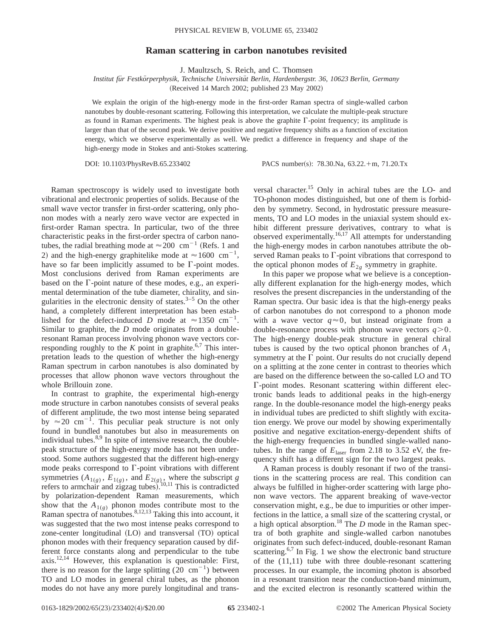## **Raman scattering in carbon nanotubes revisited**

J. Maultzsch, S. Reich, and C. Thomsen

*Institut fu¨r Festko¨rperphysik, Technische Universita¨t Berlin, Hardenbergstr. 36, 10623 Berlin, Germany*

(Received 14 March 2002; published 23 May 2002)

We explain the origin of the high-energy mode in the first-order Raman spectra of single-walled carbon nanotubes by double-resonant scattering. Following this interpretation, we calculate the multiple-peak structure as found in Raman experiments. The highest peak is above the graphite  $\Gamma$ -point frequency; its amplitude is larger than that of the second peak. We derive positive and negative frequency shifts as a function of excitation energy, which we observe experimentally as well. We predict a difference in frequency and shape of the high-energy mode in Stokes and anti-Stokes scattering.

DOI: 10.1103/PhysRevB.65.233402 PACS number(s): 78.30.Na, 63.22.+m, 71.20.Tx

Raman spectroscopy is widely used to investigate both vibrational and electronic properties of solids. Because of the small wave vector transfer in first-order scattering, only phonon modes with a nearly zero wave vector are expected in first-order Raman spectra. In particular, two of the three characteristic peaks in the first-order spectra of carbon nanotubes, the radial breathing mode at  $\approx$  200 cm<sup>-1</sup> (Refs. 1 and 2) and the high-energy graphitelike mode at  $\approx 1600 \text{ cm}^{-1}$ , have so far been implicitly assumed to be  $\Gamma$ -point modes. Most conclusions derived from Raman experiments are based on the  $\Gamma$ -point nature of these modes, e.g., an experimental determination of the tube diameter, chirality, and singularities in the electronic density of states. $3-5$  On the other hand, a completely different interpretation has been established for the defect-induced *D* mode at  $\approx 1350 \text{ cm}^{-1}$ . Similar to graphite, the *D* mode originates from a doubleresonant Raman process involving phonon wave vectors corresponding roughly to the  $K$  point in graphite.<sup>6,7</sup> This interpretation leads to the question of whether the high-energy Raman spectrum in carbon nanotubes is also dominated by processes that allow phonon wave vectors throughout the whole Brillouin zone.

In contrast to graphite, the experimental high-energy mode structure in carbon nanotubes consists of several peaks of different amplitude, the two most intense being separated by  $\approx 20$  cm<sup>-1</sup>. This peculiar peak structure is not only found in bundled nanotubes but also in measurements on individual tubes. $8,9$  In spite of intensive research, the doublepeak structure of the high-energy mode has not been understood. Some authors suggested that the different high-energy mode peaks correspond to  $\Gamma$ -point vibrations with different symmetries  $(A_{1(g)}, E_{1(g)}, \text{ and } E_{2(g)}, \text{ where the subscript } g)$ refers to armchair and zigzag tubes).  $10,11$  This is contradicted by polarization-dependent Raman measurements, which show that the  $A_{1(g)}$  phonon modes contribute most to the Raman spectra of nanotubes. $8,12,13$  Taking this into account, it was suggested that the two most intense peaks correspond to zone-center longitudinal  $(LO)$  and transversal  $(TO)$  optical phonon modes with their frequency separation caused by different force constants along and perpendicular to the tube axis.12,14 However, this explanation is questionable: First, there is no reason for the large splitting  $(20 \text{ cm}^{-1})$  between TO and LO modes in general chiral tubes, as the phonon modes do not have any more purely longitudinal and transversal character.15 Only in achiral tubes are the LO- and TO-phonon modes distinguished, but one of them is forbidden by symmetry. Second, in hydrostatic pressure measurements, TO and LO modes in the uniaxial system should exhibit different pressure derivatives, contrary to what is observed experimentally.16,17 All attempts for understanding the high-energy modes in carbon nanotubes attribute the observed Raman peaks to  $\Gamma$ -point vibrations that correspond to the optical phonon modes of  $E_{2g}$  symmetry in graphite.

In this paper we propose what we believe is a conceptionally different explanation for the high-energy modes, which resolves the present discrepancies in the understanding of the Raman spectra. Our basic idea is that the high-energy peaks of carbon nanotubes do not correspond to a phonon mode with a wave vector  $q \approx 0$ , but instead originate from a double-resonance process with phonon wave vectors  $q>0$ . The high-energy double-peak structure in general chiral tubes is caused by the two optical phonon branches of  $A_1$ symmetry at the  $\Gamma$  point. Our results do not crucially depend on a splitting at the zone center in contrast to theories which are based on the difference between the so-called LO and TO  $\Gamma$ -point modes. Resonant scattering within different electronic bands leads to additional peaks in the high-energy range. In the double-resonance model the high-energy peaks in individual tubes are predicted to shift slightly with excitation energy. We prove our model by showing experimentally positive and negative excitation-energy-dependent shifts of the high-energy frequencies in bundled single-walled nanotubes. In the range of  $E_{\text{laser}}$  from 2.18 to 3.52 eV, the frequency shift has a different sign for the two largest peaks.

A Raman process is doubly resonant if two of the transitions in the scattering process are real. This condition can always be fulfilled in higher-order scattering with large phonon wave vectors. The apparent breaking of wave-vector conservation might, e.g., be due to impurities or other imperfections in the lattice, a small size of the scattering crystal, or a high optical absorption.18 The *D* mode in the Raman spectra of both graphite and single-walled carbon nanotubes originates from such defect-induced, double-resonant Raman scattering.<sup>6,7</sup> In Fig. 1 we show the electronic band structure of the (11,11) tube with three double-resonant scattering processes. In our example, the incoming photon is absorbed in a resonant transition near the conduction-band minimum, and the excited electron is resonantly scattered within the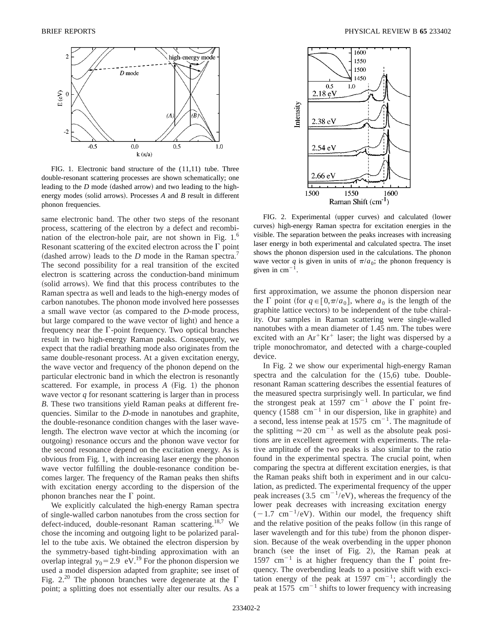

FIG. 1. Electronic band structure of the (11,11) tube. Three double-resonant scattering processes are shown schematically; one leading to the  $D$  mode (dashed arrow) and two leading to the highenergy modes (solid arrows). Processes  $A$  and  $B$  result in different phonon frequencies.

same electronic band. The other two steps of the resonant process, scattering of the electron by a defect and recombination of the electron-hole pair, are not shown in Fig. 1.<sup>6</sup> Resonant scattering of the excited electron across the  $\Gamma$  point (dashed arrow) leads to the *D* mode in the Raman spectra.<sup>7</sup> The second possibility for a real transition of the excited electron is scattering across the conduction-band minimum (solid arrows). We find that this process contributes to the Raman spectra as well and leads to the high-energy modes of carbon nanotubes. The phonon mode involved here possesses a small wave vector (as compared to the *D*-mode process, but large compared to the wave vector of light) and hence a frequency near the  $\Gamma$ -point frequency. Two optical branches result in two high-energy Raman peaks. Consequently, we expect that the radial breathing mode also originates from the same double-resonant process. At a given excitation energy, the wave vector and frequency of the phonon depend on the particular electronic band in which the electron is resonantly scattered. For example, in process  $A$  (Fig. 1) the phonon wave vector *q* for resonant scattering is larger than in process *B*. These two transitions yield Raman peaks at different frequencies. Similar to the *D*-mode in nanotubes and graphite, the double-resonance condition changes with the laser wavelength. The electron wave vector at which the incoming (or outgoing) resonance occurs and the phonon wave vector for the second resonance depend on the excitation energy. As is obvious from Fig. 1, with increasing laser energy the phonon wave vector fulfilling the double-resonance condition becomes larger. The frequency of the Raman peaks then shifts with excitation energy according to the dispersion of the phonon branches near the  $\Gamma$  point.

We explicitly calculated the high-energy Raman spectra of single-walled carbon nanotubes from the cross section for defect-induced, double-resonant Raman scattering.<sup>18,7</sup> We chose the incoming and outgoing light to be polarized parallel to the tube axis. We obtained the electron dispersion by the symmetry-based tight-binding approximation with an overlap integral  $\gamma_0$ =2.9 eV.<sup>19</sup> For the phonon dispersion we used a model dispersion adapted from graphite; see inset of Fig.  $2^{20}$  The phonon branches were degenerate at the  $\Gamma$ point; a splitting does not essentially alter our results. As a



FIG. 2. Experimental (upper curves) and calculated (lower curves) high-energy Raman spectra for excitation energies in the visible. The separation between the peaks increases with increasing laser energy in both experimental and calculated spectra. The inset shows the phonon dispersion used in the calculations. The phonon wave vector *q* is given in units of  $\pi/a_0$ ; the phonon frequency is given in  $cm^{-1}$ .

first approximation, we assume the phonon dispersion near the  $\Gamma$  point (for  $q \in [0, \pi/a_0]$ , where  $a_0$  is the length of the graphite lattice vectors) to be independent of the tube chirality. Our samples in Raman scattering were single-walled nanotubes with a mean diameter of 1.45 nm. The tubes were excited with an  $Ar^+Kr^+$  laser; the light was dispersed by a triple monochromator, and detected with a charge-coupled device.

In Fig. 2 we show our experimental high-energy Raman spectra and the calculation for the (15,6) tube. Doubleresonant Raman scattering describes the essential features of the measured spectra surprisingly well. In particular, we find the strongest peak at 1597 cm<sup>-1</sup> *above* the  $\Gamma$  point frequency  $(1588 \text{ cm}^{-1}$  in our dispersion, like in graphite) and a second, less intense peak at  $1575 \text{ cm}^{-1}$ . The magnitude of the splitting  $\approx 20$  cm<sup>-1</sup> as well as the absolute peak positions are in excellent agreement with experiments. The relative amplitude of the two peaks is also similar to the ratio found in the experimental spectra. The crucial point, when comparing the spectra at different excitation energies, is that the Raman peaks shift both in experiment and in our calculation, as predicted. The experimental frequency of the upper peak increases (3.5 cm<sup>-1</sup>/eV), whereas the frequency of the lower peak decreases with increasing excitation energy  $(-1.7 \text{ cm}^{-1}/\text{eV})$ . Within our model, the frequency shift and the relative position of the peaks follow (in this range of laser wavelength and for this tube) from the phonon dispersion. Because of the weak overbending in the upper phonon branch (see the inset of Fig. 2), the Raman peak at 1597 cm<sup>-1</sup> is at higher frequency than the  $\Gamma$  point frequency. The overbending leads to a positive shift with excitation energy of the peak at 1597  $\text{cm}^{-1}$ ; accordingly the peak at 1575  $\text{cm}^{-1}$  shifts to lower frequency with increasing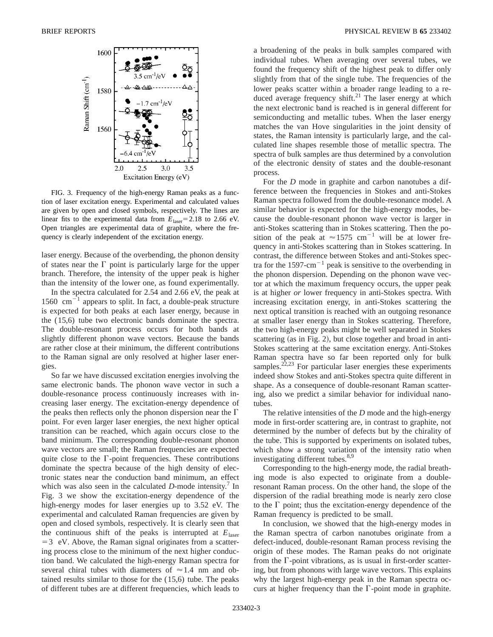

FIG. 3. Frequency of the high-energy Raman peaks as a function of laser excitation energy. Experimental and calculated values are given by open and closed symbols, respectively. The lines are linear fits to the experimental data from  $E_{\text{laser}}=2.18$  to 2.66 eV. Open triangles are experimental data of graphite, where the frequency is clearly independent of the excitation energy.

laser energy. Because of the overbending, the phonon density of states near the  $\Gamma$  point is particularly large for the upper branch. Therefore, the intensity of the upper peak is higher than the intensity of the lower one, as found experimentally.

In the spectra calculated for 2.54 and 2.66 eV, the peak at 1560  $\text{cm}^{-1}$  appears to split. In fact, a double-peak structure is expected for both peaks at each laser energy, because in the (15,6) tube two electronic bands dominate the spectra. The double-resonant process occurs for both bands at slightly different phonon wave vectors. Because the bands are rather close at their minimum, the different contributions to the Raman signal are only resolved at higher laser energies.

So far we have discussed excitation energies involving the same electronic bands. The phonon wave vector in such a double-resonance process continuously increases with increasing laser energy. The excitation-energy dependence of the peaks then reflects only the phonon dispersion near the  $\Gamma$ point. For even larger laser energies, the next higher optical transition can be reached, which again occurs close to the band minimum. The corresponding double-resonant phonon wave vectors are small; the Raman frequencies are expected quite close to the  $\Gamma$ -point frequencies. These contributions dominate the spectra because of the high density of electronic states near the conduction band minimum, an effect which was also seen in the calculated  $D$ -mode intensity.<sup>7</sup> In Fig. 3 we show the excitation-energy dependence of the high-energy modes for laser energies up to 3.52 eV. The experimental and calculated Raman frequencies are given by open and closed symbols, respectively. It is clearly seen that the continuous shift of the peaks is interrupted at  $E_{\text{laser}}$  $=$  3 eV. Above, the Raman signal originates from a scattering process close to the minimum of the next higher conduction band. We calculated the high-energy Raman spectra for several chiral tubes with diameters of  $\approx 1.4$  nm and obtained results similar to those for the (15,6) tube. The peaks of different tubes are at different frequencies, which leads to

a broadening of the peaks in bulk samples compared with individual tubes. When averaging over several tubes, we found the frequency shift of the highest peak to differ only slightly from that of the single tube. The frequencies of the lower peaks scatter within a broader range leading to a reduced average frequency shift.<sup>21</sup> The laser energy at which the next electronic band is reached is in general different for semiconducting and metallic tubes. When the laser energy matches the van Hove singularities in the joint density of states, the Raman intensity is particularly large, and the calculated line shapes resemble those of metallic spectra. The spectra of bulk samples are thus determined by a convolution of the electronic density of states and the double-resonant process.

For the *D* mode in graphite and carbon nanotubes a difference between the frequencies in Stokes and anti-Stokes Raman spectra followed from the double-resonance model. A similar behavior is expected for the high-energy modes, because the double-resonant phonon wave vector is larger in anti-Stokes scattering than in Stokes scattering. Then the position of the peak at  $\approx 1575$  cm<sup>-1</sup> will be at lower frequency in anti-Stokes scattering than in Stokes scattering. In contrast, the difference between Stokes and anti-Stokes spectra for the  $1597 \text{-cm}^{-1}$  peak is sensitive to the overbending in the phonon dispersion. Depending on the phonon wave vector at which the maximum frequency occurs, the upper peak is at higher *or* lower frequency in anti-Stokes spectra. With increasing excitation energy, in anti-Stokes scattering the next optical transition is reached with an outgoing resonance at smaller laser energy than in Stokes scattering. Therefore, the two high-energy peaks might be well separated in Stokes scattering (as in Fig. 2), but close together and broad in anti-Stokes scattering at the same excitation energy. Anti-Stokes Raman spectra have so far been reported only for bulk samples.<sup>22,23</sup> For particular laser energies these experiments indeed show Stokes and anti-Stokes spectra quite different in shape. As a consequence of double-resonant Raman scattering, also we predict a similar behavior for individual nanotubes.

The relative intensities of the *D* mode and the high-energy mode in first-order scattering are, in contrast to graphite, not determined by the number of defects but by the chirality of the tube. This is supported by experiments on isolated tubes, which show a strong variation of the intensity ratio when investigating different tubes.<sup>8,9</sup>

Corresponding to the high-energy mode, the radial breathing mode is also expected to originate from a doubleresonant Raman process. On the other hand, the slope of the dispersion of the radial breathing mode is nearly zero close to the  $\Gamma$  point; thus the excitation-energy dependence of the Raman frequency is predicted to be small.

In conclusion, we showed that the high-energy modes in the Raman spectra of carbon nanotubes originate from a defect-induced, double-resonant Raman process revising the origin of these modes. The Raman peaks do not originate from the  $\Gamma$ -point vibrations, as is usual in first-order scattering, but from phonons with large wave vectors. This explains why the largest high-energy peak in the Raman spectra occurs at higher frequency than the  $\Gamma$ -point mode in graphite.